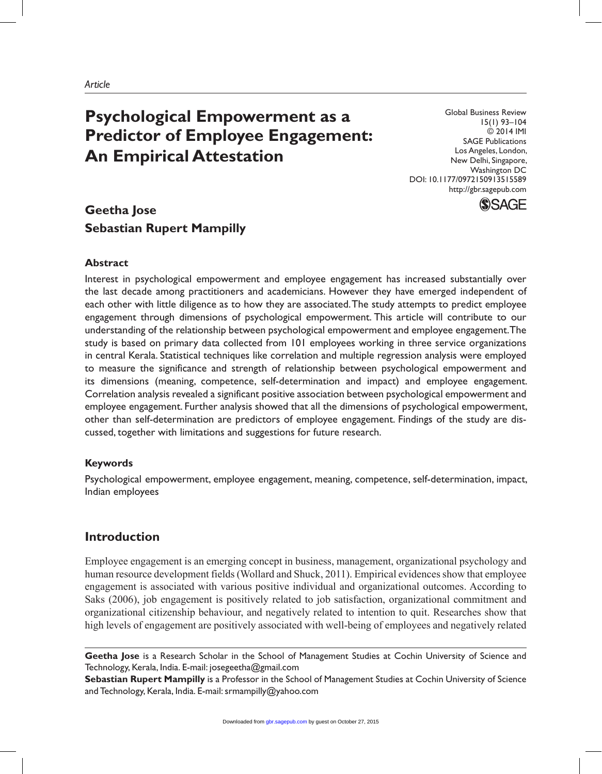# **Psychological Empowerment as a Predictor of Employee Engagement: An Empirical Attestation**

Global Business Review 15(1) 93–104 © 2014 IMI SAGE Publications Los Angeles, London, New Delhi, Singapore, Washington DC DOI: 10.1177/0972150913515589 http://gbr.sagepub.com



# **Geetha Jose Sebastian Rupert Mampilly**

# **Abstract**

Interest in psychological empowerment and employee engagement has increased substantially over the last decade among practitioners and academicians. However they have emerged independent of each other with little diligence as to how they are associated. The study attempts to predict employee engagement through dimensions of psychological empowerment. This article will contribute to our understanding of the relationship between psychological empowerment and employee engagement. The study is based on primary data collected from 101 employees working in three service organizations in central Kerala. Statistical techniques like correlation and multiple regression analysis were employed to measure the significance and strength of relationship between psychological empowerment and its dimensions (meaning, competence, self-determination and impact) and employee engagement. Correlation analysis revealed a significant positive association between psychological empowerment and employee engagement. Further analysis showed that all the dimensions of psychological empowerment, other than self-determination are predictors of employee engagement. Findings of the study are discussed, together with limitations and suggestions for future research.

### **Keywords**

Psychological empowerment, employee engagement, meaning, competence, self-determination, impact, Indian employees

# **Introduction**

Employee engagement is an emerging concept in business, management, organizational psychology and human resource development fields (Wollard and Shuck, 2011). Empirical evidences show that employee engagement is associated with various positive individual and organizational outcomes. According to Saks (2006), job engagement is positively related to job satisfaction, organizational commitment and organizational citizenship behaviour, and negatively related to intention to quit. Researches show that high levels of engagement are positively associated with well-being of employees and negatively related

**Geetha Jose** is a Research Scholar in the School of Management Studies at Cochin University of Science and Technology, Kerala, India. E-mail: josegeetha@gmail.com

**Sebastian Rupert Mampilly** is a Professor in the School of Management Studies at Cochin University of Science and Technology, Kerala, India. E-mail: srmampilly@yahoo.com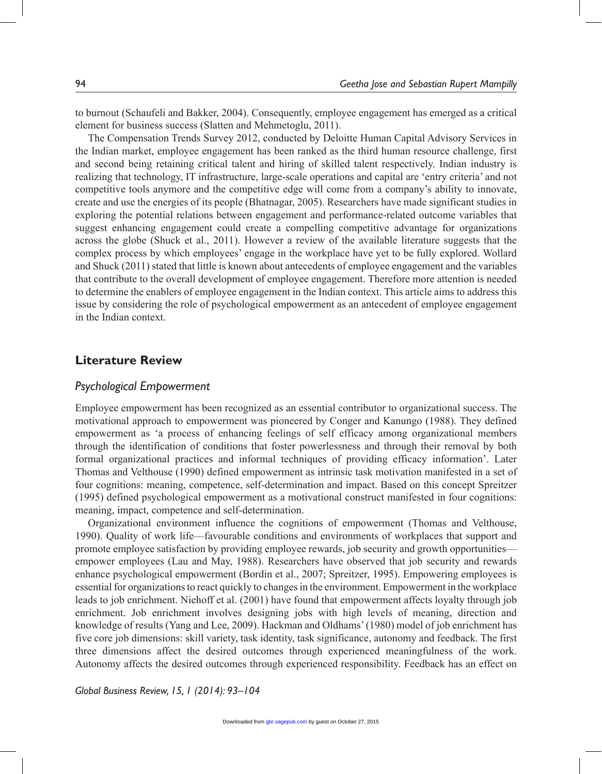to burnout (Schaufeli and Bakker, 2004). Consequently, employee engagement has emerged as a critical element for business success (Slatten and Mehmetoglu, 2011).

The Compensation Trends Survey 2012, conducted by Deloitte Human Capital Advisory Services in the Indian market, employee engagement has been ranked as the third human resource challenge, first and second being retaining critical talent and hiring of skilled talent respectively. Indian industry is realizing that technology, IT infrastructure, large-scale operations and capital are 'entry criteria' and not competitive tools anymore and the competitive edge will come from a company's ability to innovate, create and use the energies of its people (Bhatnagar, 2005). Researchers have made significant studies in exploring the potential relations between engagement and performance-related outcome variables that suggest enhancing engagement could create a compelling competitive advantage for organizations across the globe (Shuck et al., 2011). However a review of the available literature suggests that the complex process by which employees' engage in the workplace have yet to be fully explored. Wollard and Shuck (2011) stated that little is known about antecedents of employee engagement and the variables that contribute to the overall development of employee engagement. Therefore more attention is needed to determine the enablers of employee engagement in the Indian context. This article aims to address this issue by considering the role of psychological empowerment as an antecedent of employee engagement in the Indian context.

# **Literature Review**

#### *Psychological Empowerment*

Employee empowerment has been recognized as an essential contributor to organizational success. The motivational approach to empowerment was pioneered by Conger and Kanungo (1988). They defined empowerment as 'a process of enhancing feelings of self efficacy among organizational members through the identification of conditions that foster powerlessness and through their removal by both formal organizational practices and informal techniques of providing efficacy information'. Later Thomas and Velthouse (1990) defined empowerment as intrinsic task motivation manifested in a set of four cognitions: meaning, competence, self-determination and impact. Based on this concept Spreitzer (1995) defined psychological empowerment as a motivational construct manifested in four cognitions: meaning, impact, competence and self-determination.

Organizational environment influence the cognitions of empowerment (Thomas and Velthouse, 1990). Quality of work life—favourable conditions and environments of workplaces that support and promote employee satisfaction by providing employee rewards, job security and growth opportunities empower employees (Lau and May, 1988). Researchers have observed that job security and rewards enhance psychological empowerment (Bordin et al., 2007; Spreitzer, 1995). Empowering employees is essential for organizations to react quickly to changes in the environment. Empowerment in the workplace leads to job enrichment. Niehoff et al. (2001) have found that empowerment affects loyalty through job enrichment. Job enrichment involves designing jobs with high levels of meaning, direction and knowledge of results (Yang and Lee, 2009). Hackman and Oldhams' (1980) model of job enrichment has five core job dimensions: skill variety, task identity, task significance, autonomy and feedback. The first three dimensions affect the desired outcomes through experienced meaningfulness of the work. Autonomy affects the desired outcomes through experienced responsibility. Feedback has an effect on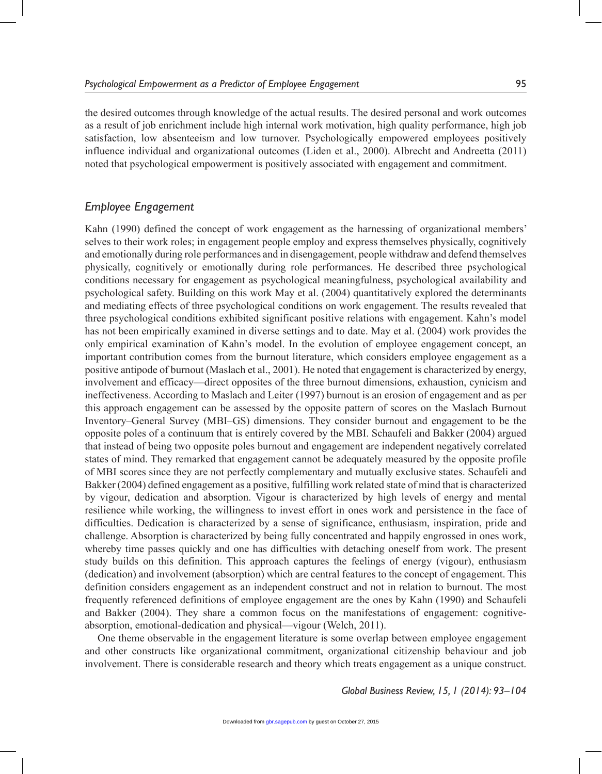the desired outcomes through knowledge of the actual results. The desired personal and work outcomes as a result of job enrichment include high internal work motivation, high quality performance, high job satisfaction, low absenteeism and low turnover. Psychologically empowered employees positively influence individual and organizational outcomes (Liden et al., 2000). Albrecht and Andreetta (2011) noted that psychological empowerment is positively associated with engagement and commitment.

# *Employee Engagement*

Kahn (1990) defined the concept of work engagement as the harnessing of organizational members' selves to their work roles; in engagement people employ and express themselves physically, cognitively and emotionally during role performances and in disengagement, people withdraw and defend themselves physically, cognitively or emotionally during role performances. He described three psychological conditions necessary for engagement as psychological meaningfulness, psychological availability and psychological safety. Building on this work May et al. (2004) quantitatively explored the determinants and mediating effects of three psychological conditions on work engagement. The results revealed that three psychological conditions exhibited significant positive relations with engagement. Kahn's model has not been empirically examined in diverse settings and to date. May et al. (2004) work provides the only empirical examination of Kahn's model. In the evolution of employee engagement concept, an important contribution comes from the burnout literature, which considers employee engagement as a positive antipode of burnout (Maslach et al., 2001). He noted that engagement is characterized by energy, involvement and efficacy—direct opposites of the three burnout dimensions, exhaustion, cynicism and ineffectiveness. According to Maslach and Leiter (1997) burnout is an erosion of engagement and as per this approach engagement can be assessed by the opposite pattern of scores on the Maslach Burnout Inventory–General Survey (MBI–GS) dimensions. They consider burnout and engagement to be the opposite poles of a continuum that is entirely covered by the MBI. Schaufeli and Bakker (2004) argued that instead of being two opposite poles burnout and engagement are independent negatively correlated states of mind. They remarked that engagement cannot be adequately measured by the opposite profile of MBI scores since they are not perfectly complementary and mutually exclusive states. Schaufeli and Bakker (2004) defined engagement as a positive, fulfilling work related state of mind that is characterized by vigour, dedication and absorption. Vigour is characterized by high levels of energy and mental resilience while working, the willingness to invest effort in ones work and persistence in the face of difficulties. Dedication is characterized by a sense of significance, enthusiasm, inspiration, pride and challenge. Absorption is characterized by being fully concentrated and happily engrossed in ones work, whereby time passes quickly and one has difficulties with detaching oneself from work. The present study builds on this definition. This approach captures the feelings of energy (vigour), enthusiasm (dedication) and involvement (absorption) which are central features to the concept of engagement. This definition considers engagement as an independent construct and not in relation to burnout. The most frequently referenced definitions of employee engagement are the ones by Kahn (1990) and Schaufeli and Bakker (2004). They share a common focus on the manifestations of engagement: cognitiveabsorption, emotional-dedication and physical—vigour (Welch, 2011).

One theme observable in the engagement literature is some overlap between employee engagement and other constructs like organizational commitment, organizational citizenship behaviour and job involvement. There is considerable research and theory which treats engagement as a unique construct.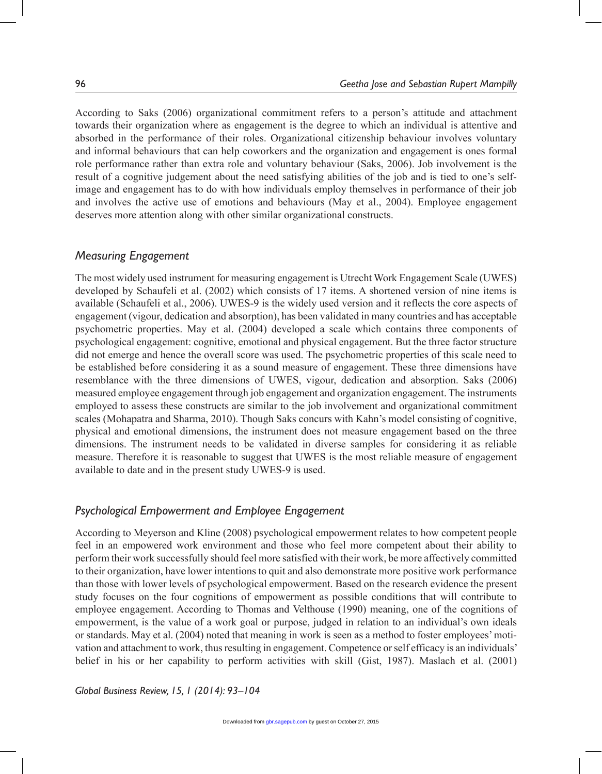According to Saks (2006) organizational commitment refers to a person's attitude and attachment towards their organization where as engagement is the degree to which an individual is attentive and absorbed in the performance of their roles. Organizational citizenship behaviour involves voluntary and informal behaviours that can help coworkers and the organization and engagement is ones formal role performance rather than extra role and voluntary behaviour (Saks, 2006). Job involvement is the result of a cognitive judgement about the need satisfying abilities of the job and is tied to one's selfimage and engagement has to do with how individuals employ themselves in performance of their job and involves the active use of emotions and behaviours (May et al., 2004). Employee engagement deserves more attention along with other similar organizational constructs.

# *Measuring Engagement*

The most widely used instrument for measuring engagement is Utrecht Work Engagement Scale (UWES) developed by Schaufeli et al. (2002) which consists of 17 items. A shortened version of nine items is available (Schaufeli et al., 2006). UWES-9 is the widely used version and it reflects the core aspects of engagement (vigour, dedication and absorption), has been validated in many countries and has acceptable psychometric properties. May et al. (2004) developed a scale which contains three components of psychological engagement: cognitive, emotional and physical engagement. But the three factor structure did not emerge and hence the overall score was used. The psychometric properties of this scale need to be established before considering it as a sound measure of engagement. These three dimensions have resemblance with the three dimensions of UWES, vigour, dedication and absorption. Saks (2006) measured employee engagement through job engagement and organization engagement. The instruments employed to assess these constructs are similar to the job involvement and organizational commitment scales (Mohapatra and Sharma, 2010). Though Saks concurs with Kahn's model consisting of cognitive, physical and emotional dimensions, the instrument does not measure engagement based on the three dimensions. The instrument needs to be validated in diverse samples for considering it as reliable measure. Therefore it is reasonable to suggest that UWES is the most reliable measure of engagement available to date and in the present study UWES-9 is used.

# *Psychological Empowerment and Employee Engagement*

According to Meyerson and Kline (2008) psychological empowerment relates to how competent people feel in an empowered work environment and those who feel more competent about their ability to perform their work successfully should feel more satisfied with their work, be more affectively committed to their organization, have lower intentions to quit and also demonstrate more positive work performance than those with lower levels of psychological empowerment. Based on the research evidence the present study focuses on the four cognitions of empowerment as possible conditions that will contribute to employee engagement. According to Thomas and Velthouse (1990) meaning, one of the cognitions of empowerment, is the value of a work goal or purpose, judged in relation to an individual's own ideals or standards. May et al. (2004) noted that meaning in work is seen as a method to foster employees' motivation and attachment to work, thus resulting in engagement. Competence or self efficacy is an individuals' belief in his or her capability to perform activities with skill (Gist, 1987). Maslach et al. (2001)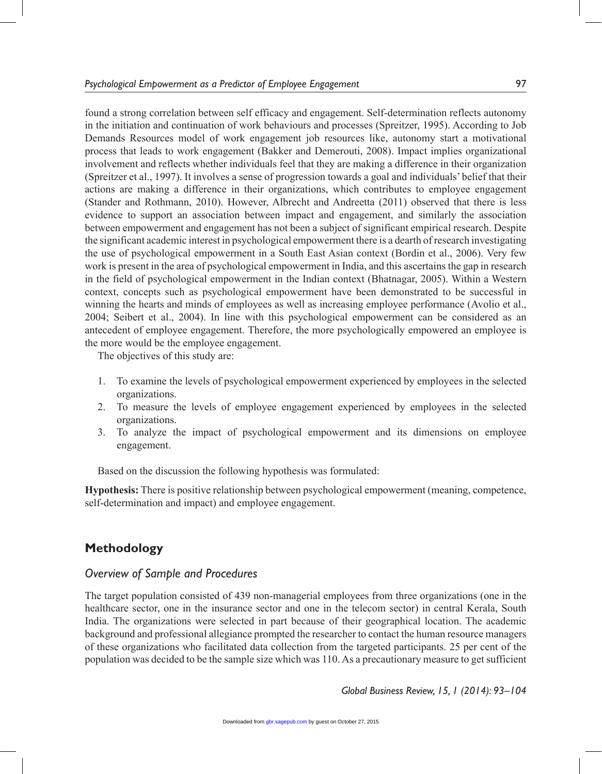found a strong correlation between self efficacy and engagement. Self-determination reflects autonomy in the initiation and continuation of work behaviours and processes (Spreitzer, 1995). According to Job Demands Resources model of work engagement job resources like, autonomy start a motivational process that leads to work engagement (Bakker and Demerouti, 2008). Impact implies organizational involvement and reflects whether individuals feel that they are making a difference in their organization (Spreitzer et al., 1997). It involves a sense of progression towards a goal and individuals' belief that their actions are making a difference in their organizations, which contributes to employee engagement (Stander and Rothmann, 2010). However, Albrecht and Andreetta (2011) observed that there is less evidence to support an association between impact and engagement, and similarly the association between empowerment and engagement has not been a subject of significant empirical research. Despite the significant academic interest in psychological empowerment there is a dearth of research investigating the use of psychological empowerment in a South East Asian context (Bordin et al., 2006). Very few work is present in the area of psychological empowerment in India, and this ascertains the gap in research in the field of psychological empowerment in the Indian context (Bhatnagar, 2005). Within a Western context, concepts such as psychological empowerment have been demonstrated to be successful in winning the hearts and minds of employees as well as increasing employee performance (Avolio et al., 2004; Seibert et al., 2004). In line with this psychological empowerment can be considered as an antecedent of employee engagement. Therefore, the more psychologically empowered an employee is the more would be the employee engagement.

The objectives of this study are:

- 1. To examine the levels of psychological empowerment experienced by employees in the selected organizations.
- 2. To measure the levels of employee engagement experienced by employees in the selected organizations.
- 3. To analyze the impact of psychological empowerment and its dimensions on employee engagement.

Based on the discussion the following hypothesis was formulated:

**Hypothesis:** There is positive relationship between psychological empowerment (meaning, competence, self-determination and impact) and employee engagement.

# **Methodology**

# *Overview of Sample and Procedures*

The target population consisted of 439 non-managerial employees from three organizations (one in the healthcare sector, one in the insurance sector and one in the telecom sector) in central Kerala, South India. The organizations were selected in part because of their geographical location. The academic background and professional allegiance prompted the researcher to contact the human resource managers of these organizations who facilitated data collection from the targeted participants. 25 per cent of the population was decided to be the sample size which was 110. As a precautionary measure to get sufficient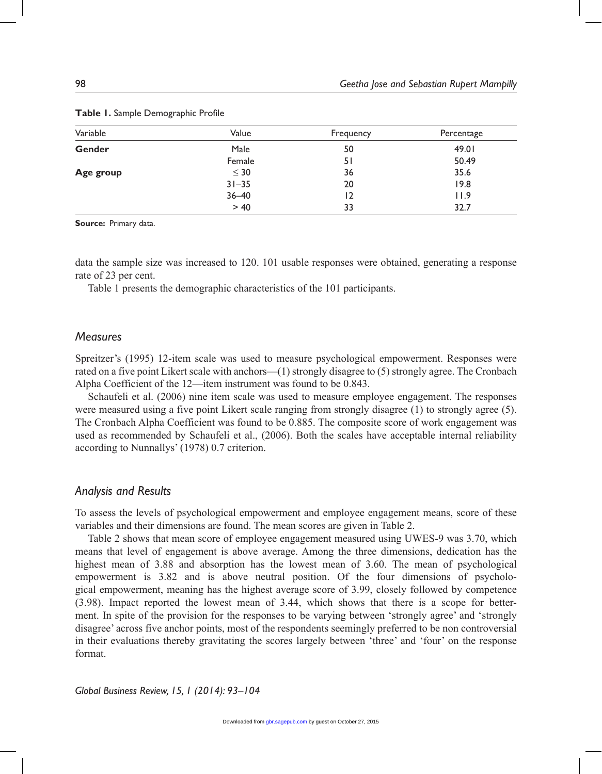| Variable      | Value     | Frequency | Percentage |
|---------------|-----------|-----------|------------|
| <b>Gender</b> | Male      | 50        | 49.01      |
|               | Female    | 51        | 50.49      |
| Age group     | $\leq 30$ | 36        | 35.6       |
|               | $31 - 35$ | 20        | 19.8       |
|               | $36 - 40$ | 12        | 11.9       |
|               | > 40      | 33        | 32.7       |

#### **Table 1.** Sample Demographic Profile

**Source:** Primary data.

data the sample size was increased to 120. 101 usable responses were obtained, generating a response rate of 23 per cent.

Table 1 presents the demographic characteristics of the 101 participants.

### *Measures*

Spreitzer's (1995) 12-item scale was used to measure psychological empowerment. Responses were rated on a five point Likert scale with anchors—(1) strongly disagree to (5) strongly agree. The Cronbach Alpha Coefficient of the 12—item instrument was found to be 0.843.

Schaufeli et al. (2006) nine item scale was used to measure employee engagement. The responses were measured using a five point Likert scale ranging from strongly disagree (1) to strongly agree (5). The Cronbach Alpha Coefficient was found to be 0.885. The composite score of work engagement was used as recommended by Schaufeli et al., (2006). Both the scales have acceptable internal reliability according to Nunnallys' (1978) 0.7 criterion.

### *Analysis and Results*

To assess the levels of psychological empowerment and employee engagement means, score of these variables and their dimensions are found. The mean scores are given in Table 2.

Table 2 shows that mean score of employee engagement measured using UWES-9 was 3.70, which means that level of engagement is above average. Among the three dimensions, dedication has the highest mean of 3.88 and absorption has the lowest mean of 3.60. The mean of psychological empowerment is 3.82 and is above neutral position. Of the four dimensions of psychological empowerment, meaning has the highest average score of 3.99, closely followed by competence (3.98). Impact reported the lowest mean of 3.44, which shows that there is a scope for betterment. In spite of the provision for the responses to be varying between 'strongly agree' and 'strongly disagree' across five anchor points, most of the respondents seemingly preferred to be non controversial in their evaluations thereby gravitating the scores largely between 'three' and 'four' on the response format.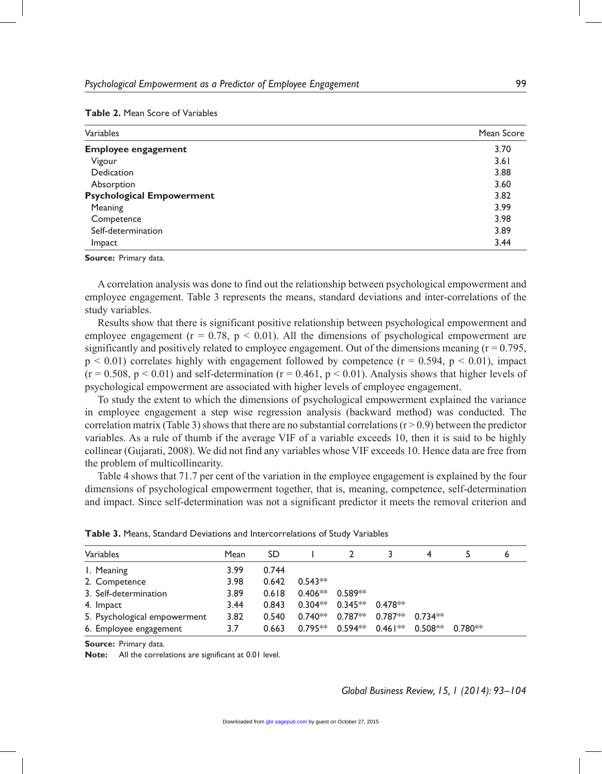#### **Table 2.** Mean Score of Variables

| Variables                        | Mean Score |
|----------------------------------|------------|
| <b>Employee engagement</b>       | 3.70       |
| Vigour                           | 3.61       |
| Dedication                       | 3.88       |
| Absorption                       | 3.60       |
| <b>Psychological Empowerment</b> | 3.82       |
| Meaning                          | 3.99       |
| Competence                       | 3.98       |
| Self-determination               | 3.89       |
| Impact                           | 3.44       |

**Source:** Primary data.

A correlation analysis was done to find out the relationship between psychological empowerment and employee engagement. Table 3 represents the means, standard deviations and inter-correlations of the study variables.

Results show that there is significant positive relationship between psychological empowerment and employee engagement ( $r = 0.78$ ,  $p < 0.01$ ). All the dimensions of psychological empowerment are significantly and positively related to employee engagement. Out of the dimensions meaning  $(r = 0.795)$ ,  $p < 0.01$ ) correlates highly with engagement followed by competence ( $r = 0.594$ ,  $p < 0.01$ ), impact  $(r = 0.508, p \le 0.01)$  and self-determination  $(r = 0.461, p \le 0.01)$ . Analysis shows that higher levels of psychological empowerment are associated with higher levels of employee engagement.

To study the extent to which the dimensions of psychological empowerment explained the variance in employee engagement a step wise regression analysis (backward method) was conducted. The correlation matrix (Table 3) shows that there are no substantial correlations ( $r > 0.9$ ) between the predictor variables. As a rule of thumb if the average VIF of a variable exceeds 10, then it is said to be highly collinear (Gujarati, 2008). We did not find any variables whose VIF exceeds 10. Hence data are free from the problem of multicollinearity.

Table 4 shows that 71.7 per cent of the variation in the employee engagement is explained by the four dimensions of psychological empowerment together, that is, meaning, competence, self-determination and impact. Since self-determination was not a significant predictor it meets the removal criterion and

| Variables                    | Mean | SD    |           |                                                   |           |           |           | 6 |
|------------------------------|------|-------|-----------|---------------------------------------------------|-----------|-----------|-----------|---|
| I. Meaning                   | 3.99 | 0.744 |           |                                                   |           |           |           |   |
| 2. Competence                | 3.98 | 0.642 | $0.543**$ |                                                   |           |           |           |   |
| 3. Self-determination        | 3.89 | 0.618 |           | $0.406**$ 0.589**                                 |           |           |           |   |
| 4. Impact                    | 3.44 | 0.843 | $0.304**$ | $0.345**$                                         | $0.478**$ |           |           |   |
| 5. Psychological empowerment | 3.82 | 0.540 |           | $0.740**$ 0.787 <sup>**</sup> 0.787 <sup>**</sup> |           | $0.734**$ |           |   |
| 6. Employee engagement       | 3.7  | 0.663 |           | $0.795**$ 0.594** 0.461**                         |           | $0.508**$ | $0.780**$ |   |

| <b>Table 3.</b> Means, Standard Deviations and Intercorrelations of Study Variables |  |  |  |  |
|-------------------------------------------------------------------------------------|--|--|--|--|
|-------------------------------------------------------------------------------------|--|--|--|--|

**Source:** Primary data.

**Note:** All the correlations are significant at 0.01 level.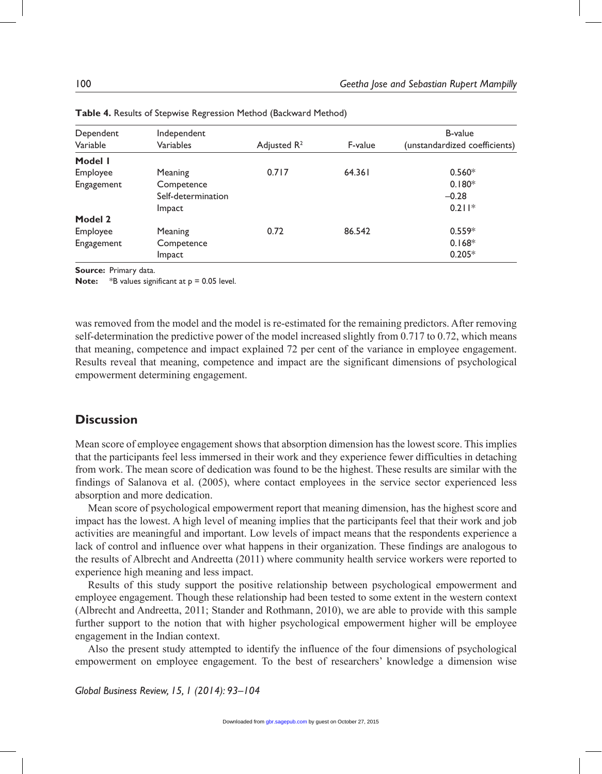| Dependent  | Independent        |                         |         | <b>B-value</b>                |  |
|------------|--------------------|-------------------------|---------|-------------------------------|--|
| Variable   | Variables          | Adjusted $\mathsf{R}^2$ | F-value | (unstandardized coefficients) |  |
| Model I    |                    |                         |         |                               |  |
| Employee   | Meaning            | 0.717                   | 64.361  | $0.560*$                      |  |
| Engagement | Competence         |                         |         | $0.180*$                      |  |
|            | Self-determination |                         |         | $-0.28$                       |  |
|            | Impact             |                         |         | $0.211*$                      |  |
| Model 2    |                    |                         |         |                               |  |
| Employee   | Meaning            | 0.72                    | 86.542  | $0.559*$                      |  |
| Engagement | Competence         |                         |         | $0.168*$                      |  |
|            | Impact             |                         |         | $0.205*$                      |  |

**Source:** Primary data.

**Note:** \*B values significant at  $p = 0.05$  level.

was removed from the model and the model is re-estimated for the remaining predictors. After removing self-determination the predictive power of the model increased slightly from 0.717 to 0.72, which means that meaning, competence and impact explained 72 per cent of the variance in employee engagement. Results reveal that meaning, competence and impact are the significant dimensions of psychological empowerment determining engagement.

# **Discussion**

Mean score of employee engagement shows that absorption dimension has the lowest score. This implies that the participants feel less immersed in their work and they experience fewer difficulties in detaching from work. The mean score of dedication was found to be the highest. These results are similar with the findings of Salanova et al. (2005), where contact employees in the service sector experienced less absorption and more dedication.

Mean score of psychological empowerment report that meaning dimension, has the highest score and impact has the lowest. A high level of meaning implies that the participants feel that their work and job activities are meaningful and important. Low levels of impact means that the respondents experience a lack of control and influence over what happens in their organization. These findings are analogous to the results of Albrecht and Andreetta (2011) where community health service workers were reported to experience high meaning and less impact.

Results of this study support the positive relationship between psychological empowerment and employee engagement. Though these relationship had been tested to some extent in the western context (Albrecht and Andreetta, 2011; Stander and Rothmann, 2010), we are able to provide with this sample further support to the notion that with higher psychological empowerment higher will be employee engagement in the Indian context.

Also the present study attempted to identify the influence of the four dimensions of psychological empowerment on employee engagement. To the best of researchers' knowledge a dimension wise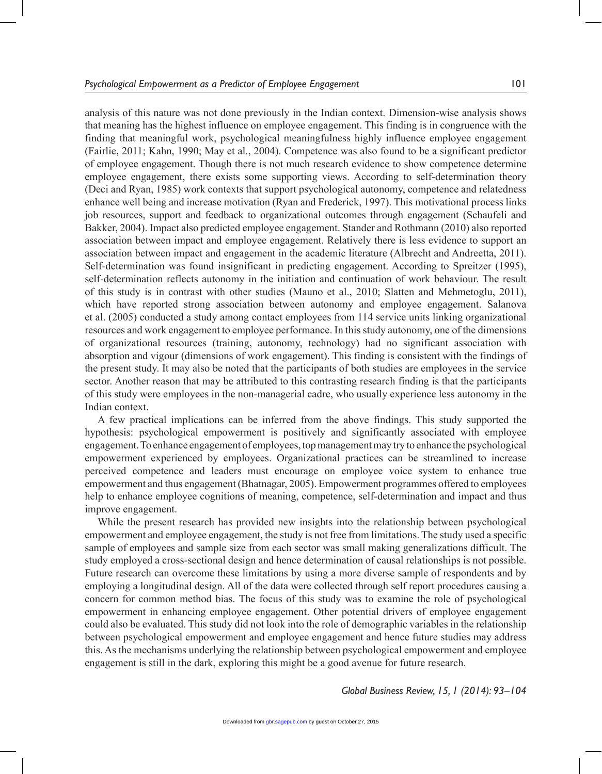analysis of this nature was not done previously in the Indian context. Dimension-wise analysis shows that meaning has the highest influence on employee engagement. This finding is in congruence with the finding that meaningful work, psychological meaningfulness highly influence employee engagement (Fairlie, 2011; Kahn, 1990; May et al., 2004). Competence was also found to be a significant predictor of employee engagement. Though there is not much research evidence to show competence determine employee engagement, there exists some supporting views. According to self-determination theory (Deci and Ryan, 1985) work contexts that support psychological autonomy, competence and relatedness enhance well being and increase motivation (Ryan and Frederick, 1997). This motivational process links job resources, support and feedback to organizational outcomes through engagement (Schaufeli and Bakker, 2004). Impact also predicted employee engagement. Stander and Rothmann (2010) also reported association between impact and employee engagement. Relatively there is less evidence to support an association between impact and engagement in the academic literature (Albrecht and Andreetta, 2011). Self-determination was found insignificant in predicting engagement. According to Spreitzer (1995), self-determination reflects autonomy in the initiation and continuation of work behaviour. The result of this study is in contrast with other studies (Mauno et al., 2010; Slatten and Mehmetoglu, 2011), which have reported strong association between autonomy and employee engagement. Salanova et al. (2005) conducted a study among contact employees from 114 service units linking organizational resources and work engagement to employee performance. In this study autonomy, one of the dimensions of organizational resources (training, autonomy, technology) had no significant association with absorption and vigour (dimensions of work engagement). This finding is consistent with the findings of the present study. It may also be noted that the participants of both studies are employees in the service sector. Another reason that may be attributed to this contrasting research finding is that the participants of this study were employees in the non-managerial cadre, who usually experience less autonomy in the Indian context.

A few practical implications can be inferred from the above findings. This study supported the hypothesis: psychological empowerment is positively and significantly associated with employee engagement. To enhance engagement of employees, top management may try to enhance the psychological empowerment experienced by employees. Organizational practices can be streamlined to increase perceived competence and leaders must encourage on employee voice system to enhance true empowerment and thus engagement (Bhatnagar, 2005). Empowerment programmes offered to employees help to enhance employee cognitions of meaning, competence, self-determination and impact and thus improve engagement.

While the present research has provided new insights into the relationship between psychological empowerment and employee engagement, the study is not free from limitations. The study used a specific sample of employees and sample size from each sector was small making generalizations difficult. The study employed a cross-sectional design and hence determination of causal relationships is not possible. Future research can overcome these limitations by using a more diverse sample of respondents and by employing a longitudinal design. All of the data were collected through self report procedures causing a concern for common method bias. The focus of this study was to examine the role of psychological empowerment in enhancing employee engagement. Other potential drivers of employee engagement could also be evaluated. This study did not look into the role of demographic variables in the relationship between psychological empowerment and employee engagement and hence future studies may address this. As the mechanisms underlying the relationship between psychological empowerment and employee engagement is still in the dark, exploring this might be a good avenue for future research.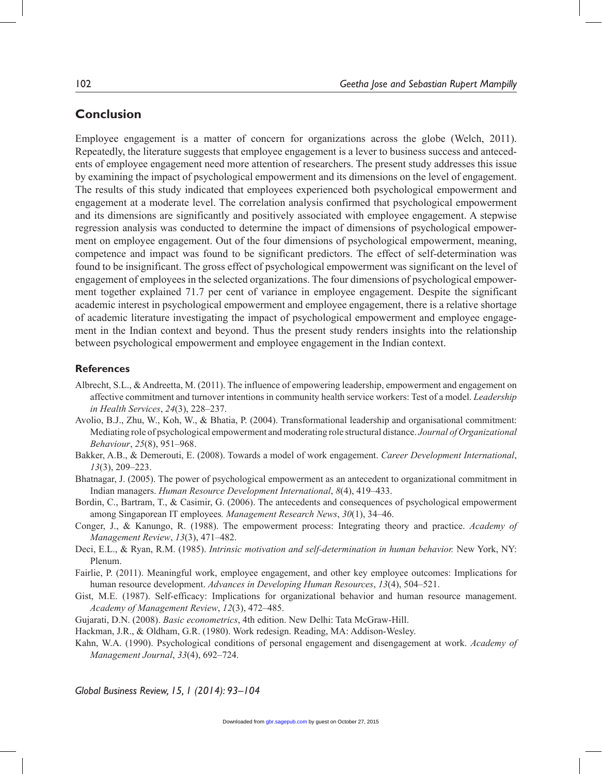# **Conclusion**

Employee engagement is a matter of concern for organizations across the globe (Welch, 2011). Repeatedly, the literature suggests that employee engagement is a lever to business success and antecedents of employee engagement need more attention of researchers. The present study addresses this issue by examining the impact of psychological empowerment and its dimensions on the level of engagement. The results of this study indicated that employees experienced both psychological empowerment and engagement at a moderate level. The correlation analysis confirmed that psychological empowerment and its dimensions are significantly and positively associated with employee engagement. A stepwise regression analysis was conducted to determine the impact of dimensions of psychological empowerment on employee engagement. Out of the four dimensions of psychological empowerment, meaning, competence and impact was found to be significant predictors. The effect of self-determination was found to be insignificant. The gross effect of psychological empowerment was significant on the level of engagement of employees in the selected organizations. The four dimensions of psychological empowerment together explained 71.7 per cent of variance in employee engagement. Despite the significant academic interest in psychological empowerment and employee engagement, there is a relative shortage of academic literature investigating the impact of psychological empowerment and employee engagement in the Indian context and beyond. Thus the present study renders insights into the relationship between psychological empowerment and employee engagement in the Indian context.

# **References**

- Albrecht, S.L., & Andreetta, M. (2011). The influence of empowering leadership, empowerment and engagement on affective commitment and turnover intentions in community health service workers: Test of a model. *Leadership in Health Services*, *24*(3), 228–237.
- Avolio, B.J., Zhu, W., Koh, W., & Bhatia, P. (2004). Transformational leadership and organisational commitment: Mediating role of psychological empowerment and moderating role structural distance. *Journal of Organizational Behaviour*, *25*(8), 951–968.
- Bakker, A.B., & Demerouti, E. (2008). Towards a model of work engagement. *Career Development International*, *13*(3), 209–223.

Bhatnagar, J. (2005). The power of psychological empowerment as an antecedent to organizational commitment in Indian managers. *Human Resource Development International*, *8*(4), 419–433.

- Bordin, C., Bartram, T., & Casimir, G. (2006). The antecedents and consequences of psychological empowerment among Singaporean IT employees*. Management Research News*, *30*(1), 34–46.
- Conger, J., & Kanungo, R. (1988). The empowerment process: Integrating theory and practice. *Academy of Management Review*, *13*(3), 471–482.
- Deci, E.L., & Ryan, R.M. (1985). *Intrinsic motivation and self-determination in human behavior.* New York, NY: Plenum.
- Fairlie, P. (2011). Meaningful work, employee engagement, and other key employee outcomes: Implications for human resource development. *Advances in Developing Human Resources*, *13*(4), 504–521.
- Gist, M.E. (1987). Self-efficacy: Implications for organizational behavior and human resource management. *Academy of Management Review*, *12*(3), 472–485.
- Gujarati, D.N. (2008). *Basic econometrics*, 4th edition. New Delhi: Tata McGraw-Hill.
- Hackman, J.R., & Oldham, G.R. (1980). Work redesign. Reading, MA: Addison-Wesley.
- Kahn, W.A. (1990). Psychological conditions of personal engagement and disengagement at work. *Academy of Management Journal*, *33*(4), 692–724.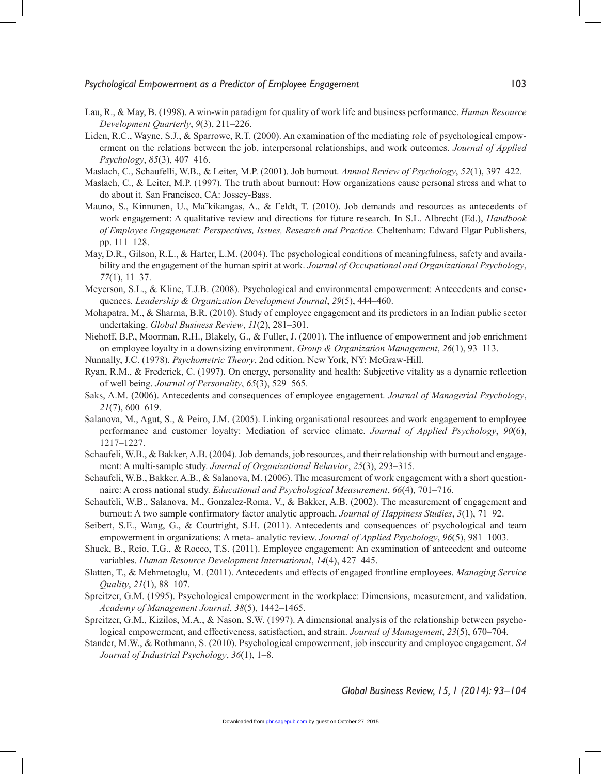- Lau, R., & May, B. (1998). A win-win paradigm for quality of work life and business performance. *Human Resource Development Quarterly*, *9*(3), 211–226.
- Liden, R.C., Wayne, S.J., & Sparrowe, R.T. (2000). An examination of the mediating role of psychological empowerment on the relations between the job, interpersonal relationships, and work outcomes. *Journal of Applied Psychology*, *85*(3), 407–416.

Maslach, C., Schaufelli, W.B., & Leiter, M.P. (2001). Job burnout. *Annual Review of Psychology*, *52*(1), 397–422.

- Maslach, C., & Leiter, M.P. (1997). The truth about burnout: How organizations cause personal stress and what to do about it. San Francisco, CA: Jossey-Bass.
- Mauno, S., Kinnunen, U., Ma¨kikangas, A., & Feldt, T. (2010). Job demands and resources as antecedents of work engagement: A qualitative review and directions for future research. In S.L. Albrecht (Ed.), *Handbook of Employee Engagement: Perspectives, Issues, Research and Practice.* Cheltenham: Edward Elgar Publishers, pp. 111–128.
- May, D.R., Gilson, R.L., & Harter, L.M. (2004). The psychological conditions of meaningfulness, safety and availability and the engagement of the human spirit at work. *Journal of Occupational and Organizational Psychology*, *77*(1), 11–37.
- Meyerson, S.L., & Kline, T.J.B. (2008). Psychological and environmental empowerment: Antecedents and consequences*. Leadership & Organization Development Journal*, *29*(5), 444–460.
- Mohapatra, M., & Sharma, B.R. (2010). Study of employee engagement and its predictors in an Indian public sector undertaking. *Global Business Review*, *11*(2), 281–301.
- Niehoff, B.P., Moorman, R.H., Blakely, G., & Fuller, J. (2001). The influence of empowerment and job enrichment on employee loyalty in a downsizing environment. *Group & Organization Management*, *26*(1), 93–113.
- Nunnally, J.C. (1978). *Psychometric Theory*, 2nd edition. New York, NY: McGraw-Hill.
- Ryan, R.M., & Frederick, C. (1997). On energy, personality and health: Subjective vitality as a dynamic reflection of well being. *Journal of Personality*, *65*(3), 529–565.
- Saks, A.M. (2006). Antecedents and consequences of employee engagement. *Journal of Managerial Psychology*, *21*(7), 600–619.
- Salanova, M., Agut, S., & Peiro, J.M. (2005). Linking organisational resources and work engagement to employee performance and customer loyalty: Mediation of service climate. *Journal of Applied Psychology*, *90*(6), 1217–1227.
- Schaufeli, W.B., & Bakker, A.B. (2004). Job demands, job resources, and their relationship with burnout and engagement: A multi-sample study. *Journal of Organizational Behavior*, *25*(3), 293–315.
- Schaufeli, W.B., Bakker, A.B., & Salanova, M. (2006). The measurement of work engagement with a short questionnaire: A cross national study. *Educational and Psychological Measurement*, *66*(4), 701–716.
- Schaufeli, W.B., Salanova, M., Gonzalez-Roma, V., & Bakker, A.B. (2002). The measurement of engagement and burnout: A two sample confirmatory factor analytic approach. *Journal of Happiness Studies*, *3*(1), 71–92.
- Seibert, S.E., Wang, G., & Courtright, S.H. (2011). Antecedents and consequences of psychological and team empowerment in organizations: A meta- analytic review. *Journal of Applied Psychology*, *96*(5), 981–1003.
- Shuck, B., Reio, T.G., & Rocco, T.S. (2011). Employee engagement: An examination of antecedent and outcome variables. *Human Resource Development International*, *14*(4), 427–445.
- Slatten, T., & Mehmetoglu, M. (2011). Antecedents and effects of engaged frontline employees. *Managing Service Quality*, *21*(1), 88–107.
- Spreitzer, G.M. (1995). Psychological empowerment in the workplace: Dimensions, measurement, and validation. *Academy of Management Journal*, *38*(5), 1442–1465.
- Spreitzer, G.M., Kizilos, M.A., & Nason, S.W. (1997). A dimensional analysis of the relationship between psychological empowerment, and effectiveness, satisfaction, and strain. *Journal of Management*, *23*(5), 670–704.
- Stander, M.W., & Rothmann, S. (2010). Psychological empowerment, job insecurity and employee engagement. *SA Journal of Industrial Psychology*, *36*(1), 1–8.